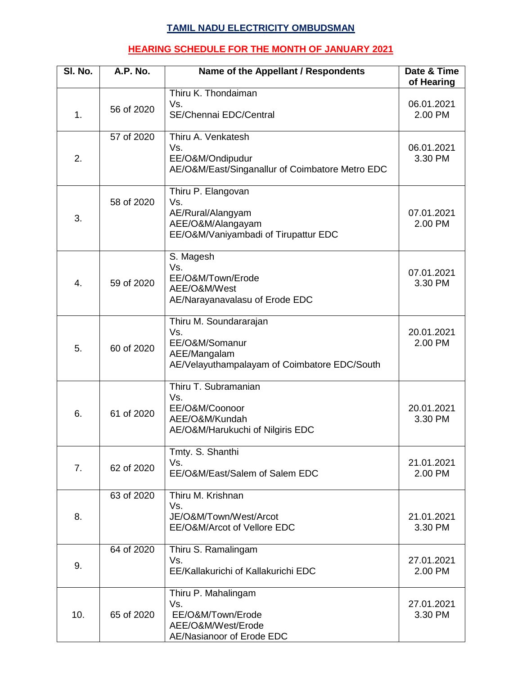## **TAMIL NADU ELECTRICITY OMBUDSMAN**

## **HEARING SCHEDULE FOR THE MONTH OF JANUARY 2021**

| SI. No. | A.P. No.   | Name of the Appellant / Respondents                                                                             | Date & Time<br>of Hearing |
|---------|------------|-----------------------------------------------------------------------------------------------------------------|---------------------------|
| 1.      | 56 of 2020 | Thiru K. Thondaiman<br>Vs.<br>SE/Chennai EDC/Central                                                            | 06.01.2021<br>2.00 PM     |
| 2.      | 57 of 2020 | Thiru A. Venkatesh<br>Vs.<br>EE/O&M/Ondipudur<br>AE/O&M/East/Singanallur of Coimbatore Metro EDC                | 06.01.2021<br>3.30 PM     |
| 3.      | 58 of 2020 | Thiru P. Elangovan<br>Vs.<br>AE/Rural/Alangyam<br>AEE/O&M/Alangayam<br>EE/O&M/Vaniyambadi of Tirupattur EDC     | 07.01.2021<br>2.00 PM     |
| 4.      | 59 of 2020 | S. Magesh<br>Vs.<br>EE/O&M/Town/Erode<br>AEE/O&M/West<br>AE/Narayanavalasu of Erode EDC                         | 07.01.2021<br>3.30 PM     |
| 5.      | 60 of 2020 | Thiru M. Soundararajan<br>Vs.<br>EE/O&M/Somanur<br>AEE/Mangalam<br>AE/Velayuthampalayam of Coimbatore EDC/South | 20.01.2021<br>2.00 PM     |
| 6.      | 61 of 2020 | Thiru T. Subramanian<br>Vs.<br>EE/O&M/Coonoor<br>AEE/O&M/Kundah<br>AE/O&M/Harukuchi of Nilgiris EDC             | 20.01.2021<br>3.30 PM     |
| 7.      | 62 of 2020 | Tmty. S. Shanthi<br>Vs.<br>EE/O&M/East/Salem of Salem EDC                                                       | 21.01.2021<br>2.00 PM     |
| 8.      | 63 of 2020 | Thiru M. Krishnan<br>Vs.<br>JE/O&M/Town/West/Arcot<br>EE/O&M/Arcot of Vellore EDC                               | 21.01.2021<br>3.30 PM     |
| 9.      | 64 of 2020 | Thiru S. Ramalingam<br>Vs.<br>EE/Kallakurichi of Kallakurichi EDC                                               | 27.01.2021<br>2.00 PM     |
| 10.     | 65 of 2020 | Thiru P. Mahalingam<br>Vs.<br>EE/O&M/Town/Erode<br>AEE/O&M/West/Erode<br>AE/Nasianoor of Erode EDC              | 27.01.2021<br>3.30 PM     |